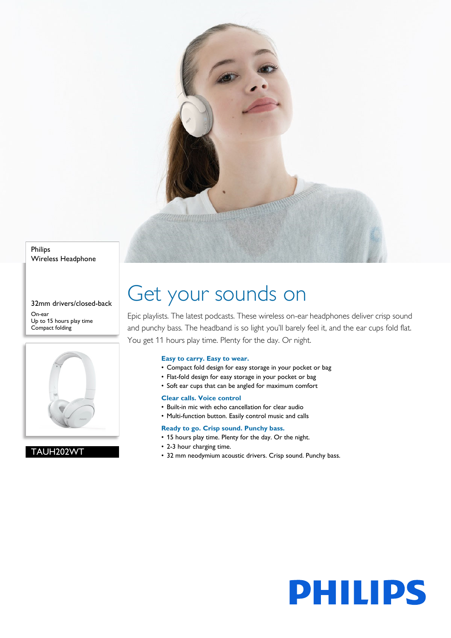

Philips Wireless Headphone

32mm drivers/closed-back On-ear Up to 15 hours play time Compact folding



# TAUH202WT

# Get your sounds on

Epic playlists. The latest podcasts. These wireless on-ear headphones deliver crisp sound and punchy bass. The headband is so light you'll barely feel it, and the ear cups fold flat. You get 11 hours play time. Plenty for the day. Or night.

# **Easy to carry. Easy to wear.**

- Compact fold design for easy storage in your pocket or bag
- Flat-fold design for easy storage in your pocket or bag
- Soft ear cups that can be angled for maximum comfort

# **Clear calls. Voice control**

- Built-in mic with echo cancellation for clear audio
- Multi-function button. Easily control music and calls

# **Ready to go. Crisp sound. Punchy bass.**

- 15 hours play time. Plenty for the day. Or the night.
- 2-3 hour charging time.
- 32 mm neodymium acoustic drivers. Crisp sound. Punchy bass.